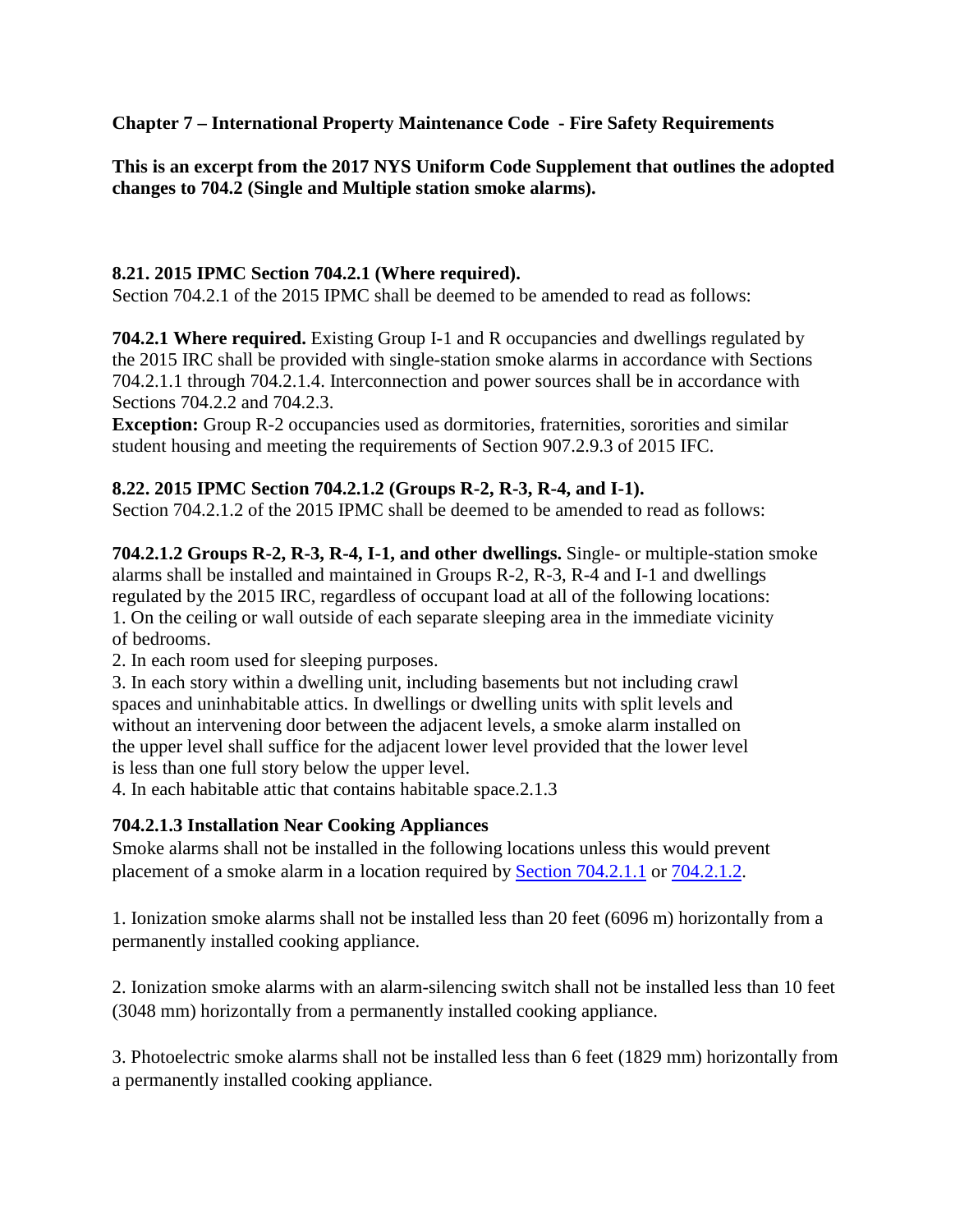**Chapter 7 – International Property Maintenance Code - Fire Safety Requirements** 

**This is an excerpt from the 2017 NYS Uniform Code Supplement that outlines the adopted changes to 704.2 (Single and Multiple station smoke alarms).** 

# **8.21. 2015 IPMC Section 704.2.1 (Where required).**

Section 704.2.1 of the 2015 IPMC shall be deemed to be amended to read as follows:

**704.2.1 Where required.** Existing Group I-1 and R occupancies and dwellings regulated by the 2015 IRC shall be provided with single-station smoke alarms in accordance with Sections 704.2.1.1 through 704.2.1.4. Interconnection and power sources shall be in accordance with Sections 704.2.2 and 704.2.3.

**Exception:** Group R-2 occupancies used as dormitories, fraternities, sororities and similar student housing and meeting the requirements of Section 907.2.9.3 of 2015 IFC.

# **8.22. 2015 IPMC Section 704.2.1.2 (Groups R-2, R-3, R-4, and I-1).**

Section 704.2.1.2 of the 2015 IPMC shall be deemed to be amended to read as follows:

**704.2.1.2 Groups R-2, R-3, R-4, I-1, and other dwellings.** Single- or multiple-station smoke alarms shall be installed and maintained in Groups R-2, R-3, R-4 and I-1 and dwellings regulated by the 2015 IRC, regardless of occupant load at all of the following locations: 1. On the ceiling or wall outside of each separate sleeping area in the immediate vicinity

of bedrooms.

2. In each room used for sleeping purposes.

3. In each story within a dwelling unit, including basements but not including crawl spaces and uninhabitable attics. In dwellings or dwelling units with split levels and without an intervening door between the adjacent levels, a smoke alarm installed on the upper level shall suffice for the adjacent lower level provided that the lower level is less than one full story below the upper level.

4. In each habitable attic that contains habitable space.2.1.3

# **704.2.1.3 Installation Near Cooking Appliances**

Smoke alarms shall not be installed in the following locations unless this would prevent placement of a smoke alarm in a location required b[y Section 704.2.1.1](https://up.codes/viewer/new_york/ipmc-2015/chapter/7/fire-safety-requirements#704.2.1.1) or [704.2.1.2.](https://up.codes/viewer/new_york/ipmc-2015/chapter/7/fire-safety-requirements#704.2.1.2)

1. Ionization smoke alarms shall not be installed less than 20 feet (6096 m) horizontally from a permanently installed cooking appliance.

2. Ionization smoke alarms with an alarm-silencing switch shall not be installed less than 10 feet (3048 mm) horizontally from a permanently installed cooking appliance.

3. Photoelectric smoke alarms shall not be installed less than 6 feet (1829 mm) horizontally from a permanently installed cooking appliance.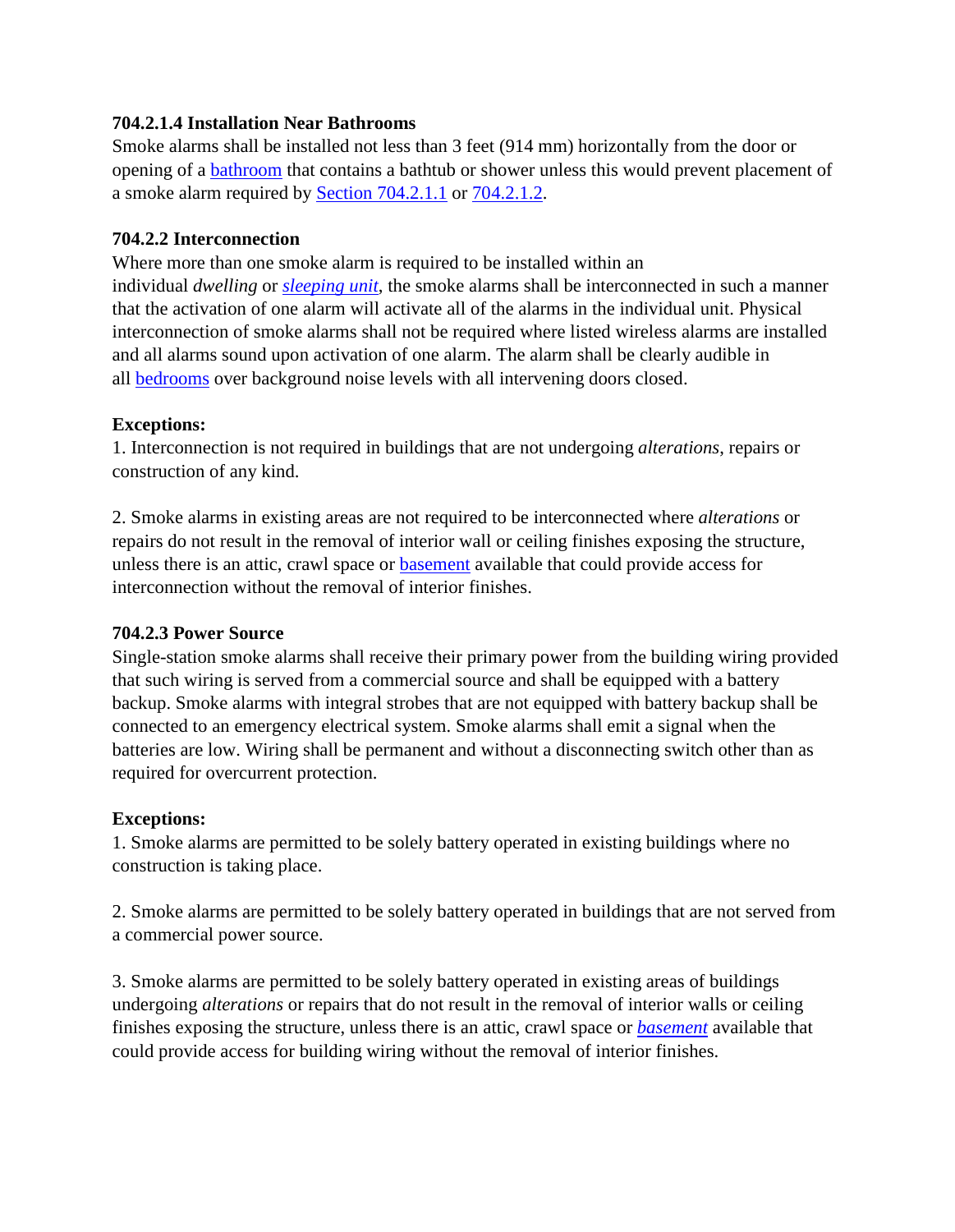## **704.2.1.4 Installation Near Bathrooms**

Smoke alarms shall be installed not less than 3 feet (914 mm) horizontally from the door or opening of a [bathroom](https://up.codes/viewer/new_york/ipmc-2015/chapter/2/definitions#bathroom) that contains a bathtub or shower unless this would prevent placement of a smoke alarm required by [Section 704.2.1.1](https://up.codes/viewer/new_york/ipmc-2015/chapter/7/fire-safety-requirements#704.2.1.1) or [704.2.1.2.](https://up.codes/viewer/new_york/ipmc-2015/chapter/7/fire-safety-requirements#704.2.1.2)

## **704.2.2 Interconnection**

Where more than one smoke alarm is required to be installed within an individual *dwelling* or *[sleeping unit](https://up.codes/viewer/new_york/ipmc-2015/chapter/2/definitions#sleeping_unit)*, the smoke alarms shall be interconnected in such a manner that the activation of one alarm will activate all of the alarms in the individual unit. Physical interconnection of smoke alarms shall not be required where listed wireless alarms are installed and all alarms sound upon activation of one alarm. The alarm shall be clearly audible in all [bedrooms](https://up.codes/viewer/new_york/ipmc-2015/chapter/2/definitions#bedroom) over background noise levels with all intervening doors closed.

#### **Exceptions:**

1. Interconnection is not required in buildings that are not undergoing *alterations*, repairs or construction of any kind.

2. Smoke alarms in existing areas are not required to be interconnected where *alterations* or repairs do not result in the removal of interior wall or ceiling finishes exposing the structure, unless there is an attic, crawl space or [basement](https://up.codes/viewer/new_york/ipmc-2015/chapter/2/definitions#basement) available that could provide access for interconnection without the removal of interior finishes.

#### **704.2.3 Power Source**

Single-station smoke alarms shall receive their primary power from the building wiring provided that such wiring is served from a commercial source and shall be equipped with a battery backup. Smoke alarms with integral strobes that are not equipped with battery backup shall be connected to an emergency electrical system. Smoke alarms shall emit a signal when the batteries are low. Wiring shall be permanent and without a disconnecting switch other than as required for overcurrent protection.

#### **Exceptions:**

1. Smoke alarms are permitted to be solely battery operated in existing buildings where no construction is taking place.

2. Smoke alarms are permitted to be solely battery operated in buildings that are not served from a commercial power source.

3. Smoke alarms are permitted to be solely battery operated in existing areas of buildings undergoing *alterations* or repairs that do not result in the removal of interior walls or ceiling finishes exposing the structure, unless there is an attic, crawl space or *[basement](https://up.codes/viewer/new_york/ipmc-2015/chapter/2/definitions#basement)* available that could provide access for building wiring without the removal of interior finishes.